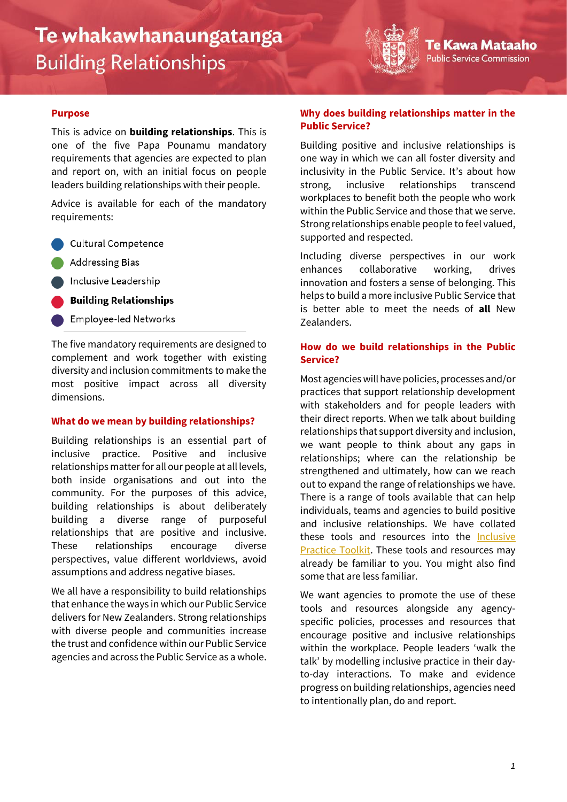# Te whakawhanaungatanga **Building Relationships**



#### **Purpose**

This is advice on **building relationships**. This is one of the five Papa Pounamu mandatory requirements that agencies are expected to plan and report on, with an initial focus on people leaders building relationships with their people.

Advice is available for each of the mandatory requirements:

Cultural Competence

**Addressing Bias** 

Inclusive Leadership

- **Building Relationships**
- **Employee-led Networks**

The five mandatory requirements are designed to complement and work together with existing diversity and inclusion commitments to make the most positive impact across all diversity dimensions.

### **What do we mean by building relationships?**

Building relationships is an essential part of inclusive practice. Positive and inclusive relationships matter for all our people at all levels, both inside organisations and out into the community. For the purposes of this advice, building relationships is about deliberately building a diverse range of purposeful relationships that are positive and inclusive. These relationships encourage diverse perspectives, value different worldviews, avoid assumptions and address negative biases.

We all have a responsibility to build relationships that enhance the ways in which our Public Service delivers for New Zealanders. Strong relationships with diverse people and communities increase the trust and confidence within our Public Service agencies and across the Public Service as a whole.

## **Why does building relationships matter in the Public Service?**

'e Kawa Mataaho

ublic Service Commission

Building positive and inclusive relationships is one way in which we can all foster diversity and inclusivity in the Public Service. It's about how strong, inclusive relationships transcend workplaces to benefit both the people who work within the Public Service and those that we serve. Strong relationships enable people to feel valued, supported and respected.

Including diverse perspectives in our work enhances collaborative working, drives innovation and fosters a sense of belonging. This helps to build a more inclusive Public Service that is better able to meet the needs of **all** New Zealanders.

# **How do we build relationships in the Public Service?**

Most agencies will have policies, processes and/or practices that support relationship development with stakeholders and for people leaders with their direct reports. When we talk about building relationships that support diversity and inclusion, we want people to think about any gaps in relationships; where can the relationship be strengthened and ultimately, how can we reach out to expand the range of relationships we have. There is a range of tools available that can help individuals, teams and agencies to build positive and inclusive relationships. We have collated these tools and resources into the Inclusive [Practice Toolkit.](https://www.publicservice.govt.nz/our-work/diversity-and-inclusion/papa-pounamu-driving-diversity-and-inclusion-across-the-public-service/building-relationships/inclusive-practice-toolkit) These tools and resources may already be familiar to you. You might also find some that are less familiar.

We want agencies to promote the use of these tools and resources alongside any agencyspecific policies, processes and resources that encourage positive and inclusive relationships within the workplace. People leaders 'walk the talk' by modelling inclusive practice in their dayto-day interactions. To make and evidence progress on building relationships, agencies need to intentionally plan, do and report.